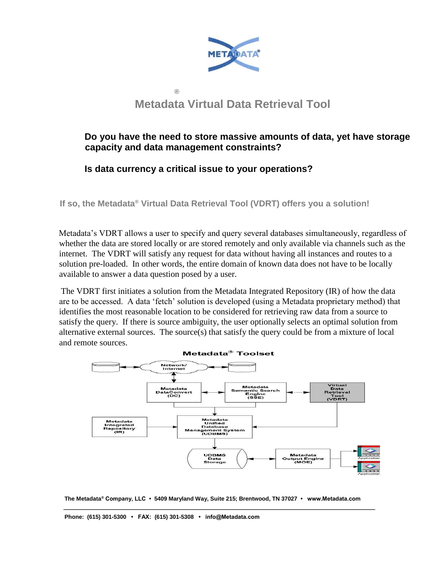

# **Metadata Virtual Data Retrieval Tool**

### **Do you have the need to store massive amounts of data, yet have storage capacity and data management constraints?**

#### **Is data currency a critical issue to your operations?**

**®**

**If so, the Metadata® Virtual Data Retrieval Tool (VDRT) offers you a solution!** 

Metadata's VDRT allows a user to specify and query several databases simultaneously, regardless of whether the data are stored locally or are stored remotely and only available via channels such as the internet. The VDRT will satisfy any request for data without having all instances and routes to a solution pre-loaded. In other words, the entire domain of known data does not have to be locally available to answer a data question posed by a user.

The VDRT first initiates a solution from the Metadata Integrated Repository (IR) of how the data are to be accessed. A data 'fetch' solution is developed (using a Metadata proprietary method) that identifies the most reasonable location to be considered for retrieving raw data from a source to satisfy the query. If there is source ambiguity, the user optionally selects an optimal solution from alternative external sources. The source(s) that satisfy the query could be from a mixture of local and remote sources.





**Phone: (615) 301-5300 • FAX: (615) 301-5308 • info@Metadata.com**